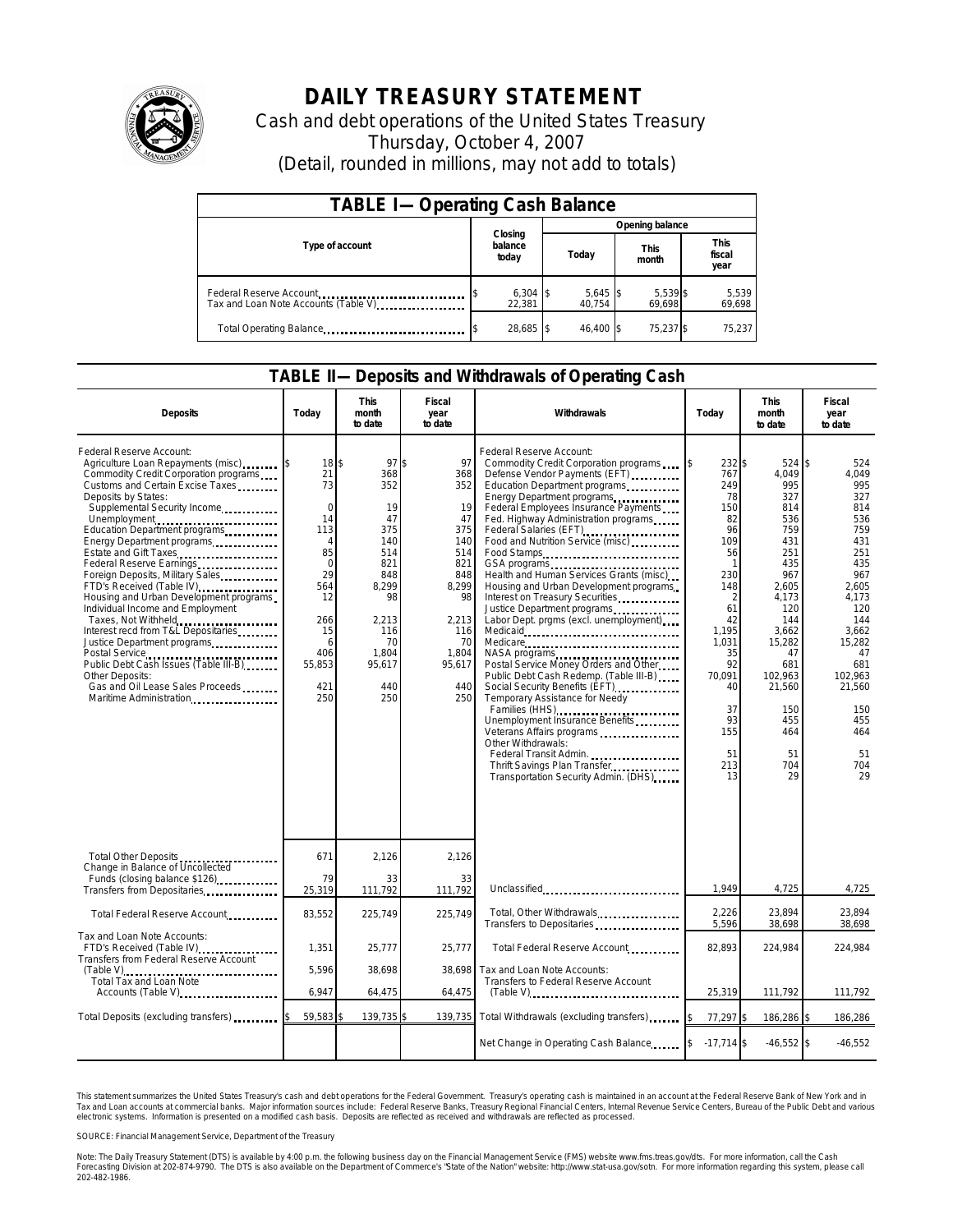

## **DAILY TREASURY STATEMENT**

Cash and debt operations of the United States Treasury Thursday, October 4, 2007 (Detail, rounded in millions, may not add to totals)

| <b>TABLE I-Operating Cash Balance</b>                           |                             |                      |                      |                               |  |  |  |
|-----------------------------------------------------------------|-----------------------------|----------------------|----------------------|-------------------------------|--|--|--|
|                                                                 |                             | Opening balance      |                      |                               |  |  |  |
| Type of account                                                 | Closing<br>balance<br>today | Today                | <b>This</b><br>month | <b>This</b><br>fiscal<br>year |  |  |  |
| Federal Reserve Account<br>Tax and Loan Note Accounts (Table V) | $6,304$ \$<br>22.381        | $5,645$ \$<br>40.754 | 5,539 \$<br>69.698   | 5,539<br>69,698               |  |  |  |
| Total Operating Balance                                         | 28,685 \$                   | 46.400 \$            | 75.237 \$            | 75,237                        |  |  |  |

## **TABLE II—Deposits and Withdrawals of Operating Cash**

| <b>Deposits</b>                                                                                                                                                                                                                                                                                                                                                                                                                                                                                                                                                                                                                                                                                               | Todav                                                                                                                                                 | This<br>month<br>to date                                                                                                              | Fiscal<br>year<br>to date                                                                                                             | Withdrawals                                                                                                                                                                                                                                                                                                                                                                                                                                                                                                                                                                                                                                                                                                                                                                                                                                                                                     | Today                                                                                                                                                                                            | This<br>month<br>to date                                                                                                                                                                                    | Fiscal<br>year<br>to date                                                                                                                                                                                |  |
|---------------------------------------------------------------------------------------------------------------------------------------------------------------------------------------------------------------------------------------------------------------------------------------------------------------------------------------------------------------------------------------------------------------------------------------------------------------------------------------------------------------------------------------------------------------------------------------------------------------------------------------------------------------------------------------------------------------|-------------------------------------------------------------------------------------------------------------------------------------------------------|---------------------------------------------------------------------------------------------------------------------------------------|---------------------------------------------------------------------------------------------------------------------------------------|-------------------------------------------------------------------------------------------------------------------------------------------------------------------------------------------------------------------------------------------------------------------------------------------------------------------------------------------------------------------------------------------------------------------------------------------------------------------------------------------------------------------------------------------------------------------------------------------------------------------------------------------------------------------------------------------------------------------------------------------------------------------------------------------------------------------------------------------------------------------------------------------------|--------------------------------------------------------------------------------------------------------------------------------------------------------------------------------------------------|-------------------------------------------------------------------------------------------------------------------------------------------------------------------------------------------------------------|----------------------------------------------------------------------------------------------------------------------------------------------------------------------------------------------------------|--|
| Federal Reserve Account:<br>Agriculture Loan Repayments (misc)<br>Commodity Credit Corporation programs<br>Customs and Certain Excise Taxes<br>Deposits by States:<br>Supplemental Security Income<br>Unemployment<br>Education Department programs<br>Energy Department programs<br>Estate and Gift Taxes<br>Federal Reserve Earnings<br>Foreign Deposits, Military Sales<br>FTD's Received (Table IV)<br>Housing and Urban Development programs<br>Individual Income and Employment<br>Taxes, Not Withheld<br>Interest recd from T&L Depositaries<br>Justice Department programs<br>Public Debt Cash Issues (Table III-B)<br>Other Deposits:<br>Gas and Oil Lease Sales Proceeds<br>Maritime Administration | 18 \$<br>21<br>73<br>$\Omega$<br>14<br>113<br>$\overline{4}$<br>85<br>$\mathbf 0$<br>29<br>564<br>12<br>266<br>15<br>6<br>406<br>55,853<br>421<br>250 | 97<br>368<br>352<br>19<br>47<br>375<br>140<br>514<br>821<br>848<br>8.299<br>98<br>2,213<br>116<br>70<br>1.804<br>95,617<br>440<br>250 | 97<br>368<br>352<br>19<br>47<br>375<br>140<br>514<br>821<br>848<br>8.299<br>98<br>2,213<br>116<br>70<br>1,804<br>95,617<br>440<br>250 | Federal Reserve Account:<br>Commodity Credit Corporation programs<br>Defense Vendor Payments (EFT)<br>Education Department programs<br>Energy Department programs<br>Federal Employees Insurance Payments<br>Fed. Highway Administration programs<br>Federal Salaries (EFT)<br>Food and Nutrition Service (misc)<br>Food Stamps<br>Health and Human Services Grants (misc)<br>Housing and Urban Development programs<br>Interest on Treasury Securities<br>Labor Dept. prgms (excl. unemployment)<br>Medicare<br>NASA programs<br>Postal Service Money Orders and Other<br>Public Debt Cash Redemp. (Table III-B)<br>Social Security Benefits (EFT)<br>Temporary Assistance for Needy<br>Families (HHS)<br>Unemployment Insurance Benefits<br>Veterans Affairs programs<br>Other Withdrawals:<br>Federal Transit Admin.<br>Thrift Savings Plan Transfer<br>Transportation Security Admin. (DHS) | 232 \$<br>767<br>249<br>78<br>150<br>82<br>96<br>109<br>56<br>-1<br>230<br>148<br>$\overline{2}$<br>61<br>42<br>1.195<br>1.031<br>35<br>92<br>70,091<br>40<br>37<br>93<br>155<br>51<br>213<br>13 | 524 \$<br>4.049<br>995<br>327<br>814<br>536<br>759<br>431<br>251<br>435<br>967<br>2.605<br>4,173<br>120<br>144<br>3.662<br>15,282<br>47<br>681<br>102,963<br>21,560<br>150<br>455<br>464<br>51<br>704<br>29 | 524<br>4.049<br>995<br>327<br>814<br>536<br>759<br>431<br>251<br>435<br>967<br>2.605<br>4,173<br>120<br>144<br>3.662<br>15,282<br>47<br>681<br>102.963<br>21,560<br>150<br>455<br>464<br>51<br>704<br>29 |  |
| Total Other Deposits<br>Change in Balance of Uncollected                                                                                                                                                                                                                                                                                                                                                                                                                                                                                                                                                                                                                                                      | 671                                                                                                                                                   | 2,126                                                                                                                                 | 2,126                                                                                                                                 |                                                                                                                                                                                                                                                                                                                                                                                                                                                                                                                                                                                                                                                                                                                                                                                                                                                                                                 |                                                                                                                                                                                                  |                                                                                                                                                                                                             |                                                                                                                                                                                                          |  |
| Funds (closing balance \$126)<br>Transfers from Depositaries                                                                                                                                                                                                                                                                                                                                                                                                                                                                                                                                                                                                                                                  | 79<br>25,319                                                                                                                                          | 33<br>111,792                                                                                                                         | 33<br>111,792                                                                                                                         | Unclassified                                                                                                                                                                                                                                                                                                                                                                                                                                                                                                                                                                                                                                                                                                                                                                                                                                                                                    | 1,949                                                                                                                                                                                            | 4,725                                                                                                                                                                                                       | 4,725                                                                                                                                                                                                    |  |
| Total Federal Reserve Account                                                                                                                                                                                                                                                                                                                                                                                                                                                                                                                                                                                                                                                                                 | 83,552                                                                                                                                                | 225,749                                                                                                                               | 225.749                                                                                                                               | Total, Other Withdrawals<br>Transfers to Depositaries                                                                                                                                                                                                                                                                                                                                                                                                                                                                                                                                                                                                                                                                                                                                                                                                                                           | 2,226<br>5,596                                                                                                                                                                                   | 23,894<br>38,698                                                                                                                                                                                            | 23,894<br>38,698                                                                                                                                                                                         |  |
| Tax and Loan Note Accounts:<br>FTD's Received (Table IV)<br>Transfers from Federal Reserve Account                                                                                                                                                                                                                                                                                                                                                                                                                                                                                                                                                                                                            | 1.351                                                                                                                                                 | 25.777                                                                                                                                | 25.777                                                                                                                                | Total Federal Reserve Account                                                                                                                                                                                                                                                                                                                                                                                                                                                                                                                                                                                                                                                                                                                                                                                                                                                                   | 82.893                                                                                                                                                                                           | 224.984                                                                                                                                                                                                     | 224.984                                                                                                                                                                                                  |  |
| $(Table V)$<br>Total Tax and Loan Note<br>Accounts (Table V)                                                                                                                                                                                                                                                                                                                                                                                                                                                                                                                                                                                                                                                  | 5,596<br>6.947                                                                                                                                        | 38,698<br>64,475                                                                                                                      | 38,698<br>64,475                                                                                                                      | Tax and Loan Note Accounts:<br>Transfers to Federal Reserve Account<br>$(Table V)$                                                                                                                                                                                                                                                                                                                                                                                                                                                                                                                                                                                                                                                                                                                                                                                                              | 25,319                                                                                                                                                                                           | 111,792                                                                                                                                                                                                     | 111,792                                                                                                                                                                                                  |  |
| Total Deposits (excluding transfers)                                                                                                                                                                                                                                                                                                                                                                                                                                                                                                                                                                                                                                                                          | 59,583                                                                                                                                                | 139,735                                                                                                                               | 139,735                                                                                                                               | Total Withdrawals (excluding transfers)                                                                                                                                                                                                                                                                                                                                                                                                                                                                                                                                                                                                                                                                                                                                                                                                                                                         | 77,297 \$                                                                                                                                                                                        | 186,286 \$                                                                                                                                                                                                  | 186,286                                                                                                                                                                                                  |  |
|                                                                                                                                                                                                                                                                                                                                                                                                                                                                                                                                                                                                                                                                                                               |                                                                                                                                                       |                                                                                                                                       |                                                                                                                                       | Net Change in Operating Cash Balance 5 17,714 \$                                                                                                                                                                                                                                                                                                                                                                                                                                                                                                                                                                                                                                                                                                                                                                                                                                                |                                                                                                                                                                                                  | $-46,552$ \$                                                                                                                                                                                                | $-46,552$                                                                                                                                                                                                |  |

This statement summarizes the United States Treasury's cash and debt operations for the Federal Government. Treasury's operating cash is maintained in an account at the Federal Reserve Bank of New York and in<br>Tax and Loan narizes the United States Treasury's cash and debt operations for the Federal Government. Treasury's operating cash is maintained in an account at the Federal Reserve Bank of New Yor<br>ints at commercial banks. Major informa

SOURCE: Financial Management Service, Department of the Treasury

Note: The Daily Treasury Statement (DTS) is available by 4:00 p.m. the following business day on the Financial Management Service (FMS) website www.fms.treas.gov/dts. For more information, call the Cash<br>Forecasting Divisio 202-482-1986.